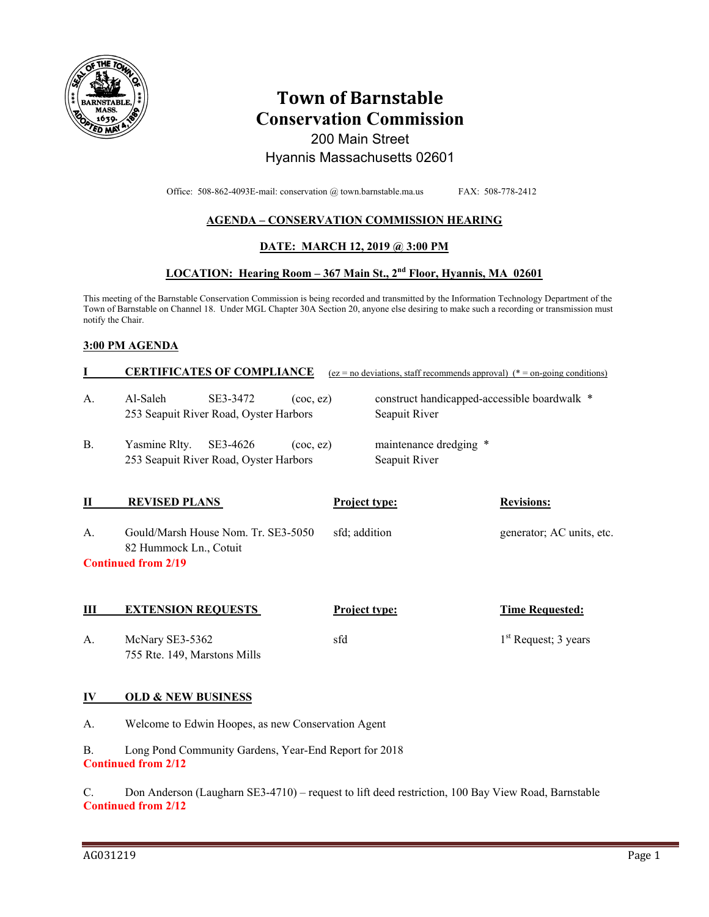

# **Town of Barnstable Conservation Commission**

200 Main Street Hyannis Massachusetts 02601

Office: 508-862-4093E-mail: conservation @ town.barnstable.ma.us FAX: 508-778-2412

# **AGENDA – CONSERVATION COMMISSION HEARING**

## **DATE: MARCH 12, 2019 @ 3:00 PM**

## **LOCATION: Hearing Room – 367 Main St., 2nd Floor, Hyannis, MA 02601**

This meeting of the Barnstable Conservation Commission is being recorded and transmitted by the Information Technology Department of the Town of Barnstable on Channel 18. Under MGL Chapter 30A Section 20, anyone else desiring to make such a recording or transmission must notify the Chair.

#### **3:00 PM AGENDA**

|                                                                                                                                                 | <b>CERTIFICATES OF COMPLIANCE</b>                                                                  | $(ez = no deviations, staff recommends approval)$ (* = on-going conditions) |                        |  |
|-------------------------------------------------------------------------------------------------------------------------------------------------|----------------------------------------------------------------------------------------------------|-----------------------------------------------------------------------------|------------------------|--|
| A.                                                                                                                                              | Al-Saleh<br>SE3-3472<br>$($ coc, ez $)$<br>253 Seapuit River Road, Oyster Harbors                  | construct handicapped-accessible boardwalk *<br>Seapuit River               |                        |  |
| <b>B.</b>                                                                                                                                       | Yasmine Rlty.<br>SE3-4626<br>$($ coc $,$ ez $)$<br>253 Seapuit River Road, Oyster Harbors          | maintenance dredging *<br>Seapuit River                                     |                        |  |
| П                                                                                                                                               | <b>REVISED PLANS</b>                                                                               | <b>Project type:</b>                                                        | <b>Revisions:</b>      |  |
| Gould/Marsh House Nom. Tr. SE3-5050<br>sfd; addition<br>generator; AC units, etc.<br>A.<br>82 Hummock Ln., Cotuit<br><b>Continued from 2/19</b> |                                                                                                    |                                                                             |                        |  |
| Ш                                                                                                                                               | <b>EXTENSION REQUESTS</b>                                                                          | <b>Project type:</b>                                                        | <b>Time Requested:</b> |  |
| A.                                                                                                                                              | McNary SE3-5362<br>755 Rte. 149, Marstons Mills                                                    | sfd                                                                         | $1st$ Request; 3 years |  |
| IV                                                                                                                                              | <b>OLD &amp; NEW BUSINESS</b>                                                                      |                                                                             |                        |  |
| A.                                                                                                                                              | Welcome to Edwin Hoopes, as new Conservation Agent                                                 |                                                                             |                        |  |
| Long Pond Community Gardens, Year-End Report for 2018<br><b>B.</b><br><b>Continued from 2/12</b>                                                |                                                                                                    |                                                                             |                        |  |
| C.                                                                                                                                              | Don Anderson (Laugharn SE3-4710) – request to lift deed restriction, 100 Bay View Road, Barnstable |                                                                             |                        |  |